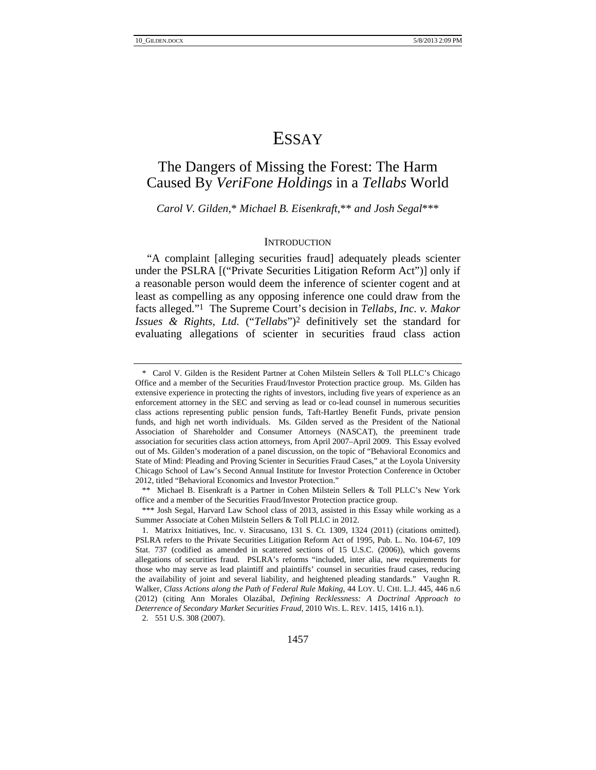# ESSAY

## The Dangers of Missing the Forest: The Harm Caused By *VeriFone Holdings* in a *Tellabs* World

*Carol V. Gilden,*\* *Michael B. Eisenkraft,*\*\* *and Josh Segal*\*\*\*

#### **INTRODUCTION**

"A complaint [alleging securities fraud] adequately pleads scienter under the PSLRA [("Private Securities Litigation Reform Act")] only if a reasonable person would deem the inference of scienter cogent and at least as compelling as any opposing inference one could draw from the facts alleged."1 The Supreme Court's decision in *Tellabs, Inc. v. Makor Issues & Rights, Ltd.* ("*Tellabs*")2 definitively set the standard for evaluating allegations of scienter in securities fraud class action

2. 551 U.S. 308 (2007).

 <sup>\*</sup> Carol V. Gilden is the Resident Partner at Cohen Milstein Sellers & Toll PLLC's Chicago Office and a member of the Securities Fraud/Investor Protection practice group. Ms. Gilden has extensive experience in protecting the rights of investors, including five years of experience as an enforcement attorney in the SEC and serving as lead or co-lead counsel in numerous securities class actions representing public pension funds, Taft-Hartley Benefit Funds, private pension funds, and high net worth individuals. Ms. Gilden served as the President of the National Association of Shareholder and Consumer Attorneys (NASCAT), the preeminent trade association for securities class action attorneys, from April 2007–April 2009. This Essay evolved out of Ms. Gilden's moderation of a panel discussion, on the topic of "Behavioral Economics and State of Mind: Pleading and Proving Scienter in Securities Fraud Cases," at the Loyola University Chicago School of Law's Second Annual Institute for Investor Protection Conference in October 2012, titled "Behavioral Economics and Investor Protection."

 <sup>\*\*</sup> Michael B. Eisenkraft is a Partner in Cohen Milstein Sellers & Toll PLLC's New York office and a member of the Securities Fraud/Investor Protection practice group.

 <sup>\*\*\*</sup> Josh Segal, Harvard Law School class of 2013, assisted in this Essay while working as a Summer Associate at Cohen Milstein Sellers & Toll PLLC in 2012.

<sup>1.</sup> Matrixx Initiatives, Inc. v. Siracusano, 131 S. Ct. 1309, 1324 (2011) (citations omitted). PSLRA refers to the Private Securities Litigation Reform Act of 1995, Pub. L. No. 104-67, 109 Stat. 737 (codified as amended in scattered sections of 15 U.S.C. (2006)), which governs allegations of securities fraud. PSLRA's reforms "included, inter alia, new requirements for those who may serve as lead plaintiff and plaintiffs' counsel in securities fraud cases, reducing the availability of joint and several liability, and heightened pleading standards." Vaughn R. Walker, *Class Actions along the Path of Federal Rule Making*, 44 LOY. U. CHI. L.J. 445, 446 n.6 (2012) (citing Ann Morales Olazábal, *Defining Recklessness: A Doctrinal Approach to Deterrence of Secondary Market Securities Fraud*, 2010 WIS. L. REV. 1415, 1416 n.1).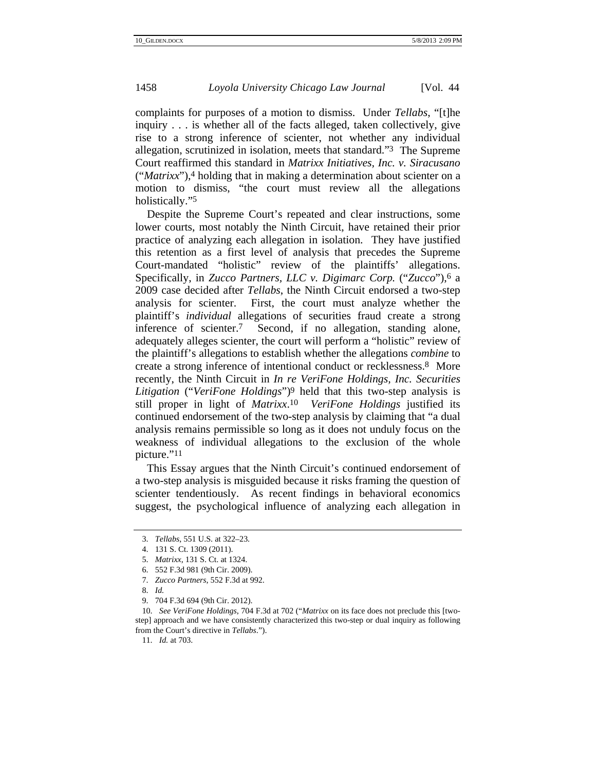complaints for purposes of a motion to dismiss. Under *Tellabs*, "[t]he inquiry . . . is whether all of the facts alleged, taken collectively, give rise to a strong inference of scienter, not whether any individual allegation, scrutinized in isolation, meets that standard."3 The Supreme Court reaffirmed this standard in *Matrixx Initiatives, Inc. v. Siracusano* ("*Matrixx*"),4 holding that in making a determination about scienter on a motion to dismiss, "the court must review all the allegations holistically."5

Despite the Supreme Court's repeated and clear instructions, some lower courts, most notably the Ninth Circuit, have retained their prior practice of analyzing each allegation in isolation. They have justified this retention as a first level of analysis that precedes the Supreme Court-mandated "holistic" review of the plaintiffs' allegations. Specifically, in *Zucco Partners, LLC v. Digimarc Corp.* ("*Zucco*"),6 a 2009 case decided after *Tellabs*, the Ninth Circuit endorsed a two-step analysis for scienter. First, the court must analyze whether the plaintiff's *individual* allegations of securities fraud create a strong inference of scienter.7 Second, if no allegation, standing alone, adequately alleges scienter, the court will perform a "holistic" review of the plaintiff's allegations to establish whether the allegations *combine* to create a strong inference of intentional conduct or recklessness.8 More recently, the Ninth Circuit in *In re VeriFone Holdings, Inc. Securities Litigation* ("*VeriFone Holdings*")9 held that this two-step analysis is still proper in light of *Matrixx*.10 *VeriFone Holdings* justified its continued endorsement of the two-step analysis by claiming that "a dual analysis remains permissible so long as it does not unduly focus on the weakness of individual allegations to the exclusion of the whole picture."11

This Essay argues that the Ninth Circuit's continued endorsement of a two-step analysis is misguided because it risks framing the question of scienter tendentiously. As recent findings in behavioral economics suggest, the psychological influence of analyzing each allegation in

<sup>3.</sup> *Tellabs*, 551 U.S. at 322–23.

<sup>4. 131</sup> S. Ct. 1309 (2011).

<sup>5.</sup> *Matrixx*, 131 S. Ct. at 1324.

<sup>6. 552</sup> F.3d 981 (9th Cir. 2009).

<sup>7.</sup> *Zucco Partners*, 552 F.3d at 992.

<sup>8.</sup> *Id.*

<sup>9. 704</sup> F.3d 694 (9th Cir. 2012).

<sup>10.</sup> *See VeriFone Holdings*, 704 F.3d at 702 ("*Matrixx* on its face does not preclude this [twostep] approach and we have consistently characterized this two-step or dual inquiry as following from the Court's directive in *Tellabs*.").

<sup>11.</sup> *Id.* at 703.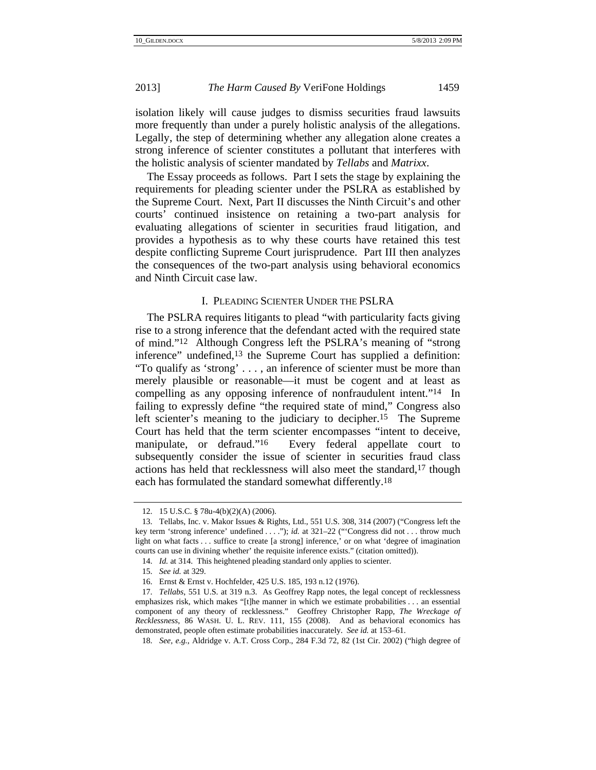isolation likely will cause judges to dismiss securities fraud lawsuits more frequently than under a purely holistic analysis of the allegations. Legally, the step of determining whether any allegation alone creates a strong inference of scienter constitutes a pollutant that interferes with the holistic analysis of scienter mandated by *Tellabs* and *Matrixx*.

The Essay proceeds as follows. Part I sets the stage by explaining the requirements for pleading scienter under the PSLRA as established by the Supreme Court. Next, Part II discusses the Ninth Circuit's and other courts' continued insistence on retaining a two-part analysis for evaluating allegations of scienter in securities fraud litigation, and provides a hypothesis as to why these courts have retained this test despite conflicting Supreme Court jurisprudence. Part III then analyzes the consequences of the two-part analysis using behavioral economics and Ninth Circuit case law.

#### I. PLEADING SCIENTER UNDER THE PSLRA

The PSLRA requires litigants to plead "with particularity facts giving rise to a strong inference that the defendant acted with the required state of mind."12 Although Congress left the PSLRA's meaning of "strong inference" undefined,13 the Supreme Court has supplied a definition: "To qualify as 'strong' . . . , an inference of scienter must be more than merely plausible or reasonable—it must be cogent and at least as compelling as any opposing inference of nonfraudulent intent."14 In failing to expressly define "the required state of mind," Congress also left scienter's meaning to the judiciary to decipher.15 The Supreme Court has held that the term scienter encompasses "intent to deceive, manipulate, or defraud."<sup>16</sup> Every federal appellate court to subsequently consider the issue of scienter in securities fraud class actions has held that recklessness will also meet the standard,17 though each has formulated the standard somewhat differently.18

<sup>12. 15</sup> U.S.C. § 78u-4(b)(2)(A) (2006).

<sup>13.</sup> Tellabs, Inc. v. Makor Issues & Rights, Ltd., 551 U.S. 308, 314 (2007) ("Congress left the key term 'strong inference' undefined . . . ."); *id.* at 321–22 ("'Congress did not . . . throw much light on what facts . . . suffice to create [a strong] inference,' or on what 'degree of imagination courts can use in divining whether' the requisite inference exists." (citation omitted)).

<sup>14.</sup> *Id.* at 314. This heightened pleading standard only applies to scienter.

<sup>15.</sup> *See id.* at 329.

<sup>16.</sup> Ernst & Ernst v. Hochfelder, 425 U.S. 185, 193 n.12 (1976).

<sup>17.</sup> *Tellabs*, 551 U.S. at 319 n.3. As Geoffrey Rapp notes, the legal concept of recklessness emphasizes risk, which makes "[t]he manner in which we estimate probabilities . . . an essential component of any theory of recklessness." Geoffrey Christopher Rapp, *The Wreckage of Recklessness*, 86 WASH. U. L. REV. 111, 155 (2008). And as behavioral economics has demonstrated, people often estimate probabilities inaccurately. *See id.* at 153–61.

<sup>18.</sup> *See, e.g.*, Aldridge v. A.T. Cross Corp., 284 F.3d 72, 82 (1st Cir. 2002) ("high degree of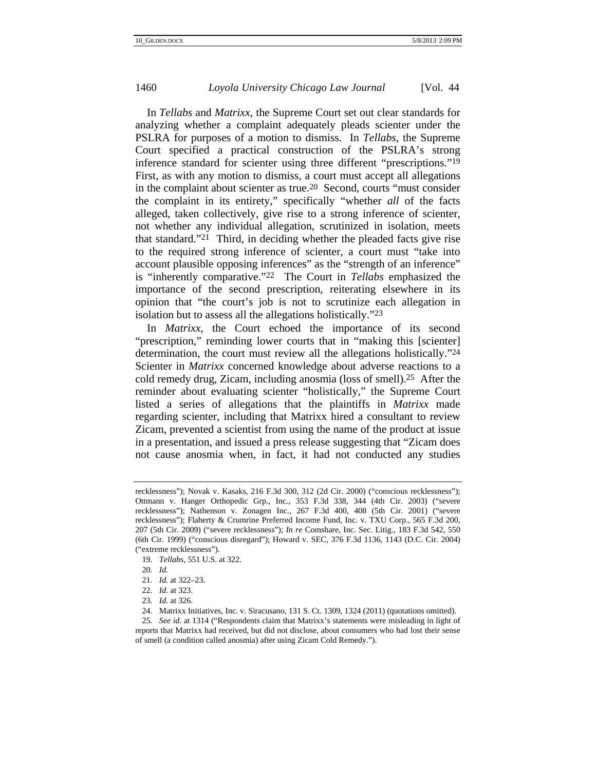In *Tellabs* and *Matrixx*, the Supreme Court set out clear standards for analyzing whether a complaint adequately pleads scienter under the PSLRA for purposes of a motion to dismiss. In *Tellabs*, the Supreme Court specified a practical construction of the PSLRA's strong inference standard for scienter using three different "prescriptions."19 First, as with any motion to dismiss, a court must accept all allegations in the complaint about scienter as true.20 Second, courts "must consider the complaint in its entirety," specifically "whether *all* of the facts alleged, taken collectively, give rise to a strong inference of scienter, not whether any individual allegation, scrutinized in isolation, meets that standard."21 Third, in deciding whether the pleaded facts give rise to the required strong inference of scienter, a court must "take into account plausible opposing inferences" as the "strength of an inference" is "inherently comparative."22 The Court in *Tellabs* emphasized the importance of the second prescription, reiterating elsewhere in its opinion that "the court's job is not to scrutinize each allegation in isolation but to assess all the allegations holistically."23

In *Matrixx*, the Court echoed the importance of its second "prescription," reminding lower courts that in "making this [scienter] determination, the court must review all the allegations holistically."24 Scienter in *Matrixx* concerned knowledge about adverse reactions to a cold remedy drug, Zicam, including anosmia (loss of smell).25 After the reminder about evaluating scienter "holistically," the Supreme Court listed a series of allegations that the plaintiffs in *Matrixx* made regarding scienter, including that Matrixx hired a consultant to review Zicam, prevented a scientist from using the name of the product at issue in a presentation, and issued a press release suggesting that "Zicam does not cause anosmia when, in fact, it had not conducted any studies

19. *Tellabs*, 551 U.S. at 322.

25. *See id.* at 1314 ("Respondents claim that Matrixx's statements were misleading in light of reports that Matrixx had received, but did not disclose, about consumers who had lost their sense of smell (a condition called anosmia) after using Zicam Cold Remedy.").

recklessness"); Novak v. Kasaks, 216 F.3d 300, 312 (2d Cir. 2000) ("conscious recklessness"); Ottmann v. Hanger Orthopedic Grp., Inc., 353 F.3d 338, 344 (4th Cir. 2003) ("severe recklessness"); Nathenson v. Zonagen Inc., 267 F.3d 400, 408 (5th Cir. 2001) ("severe recklessness"); Flaherty & Crumrine Preferred Income Fund, Inc. v. TXU Corp., 565 F.3d 200, 207 (5th Cir. 2009) ("severe recklessness"); *In re* Comshare, Inc. Sec. Litig., 183 F.3d 542, 550 (6th Cir. 1999) ("conscious disregard"); Howard v. SEC, 376 F.3d 1136, 1143 (D.C. Cir. 2004) ("extreme recklessness").

<sup>20.</sup> *Id.*

<sup>21.</sup> *Id.* at 322–23.

<sup>22.</sup> *Id.* at 323.

<sup>23.</sup> *Id.* at 326.

<sup>24.</sup> Matrixx Initiatives, Inc. v. Siracusano, 131 S. Ct. 1309, 1324 (2011) (quotations omitted).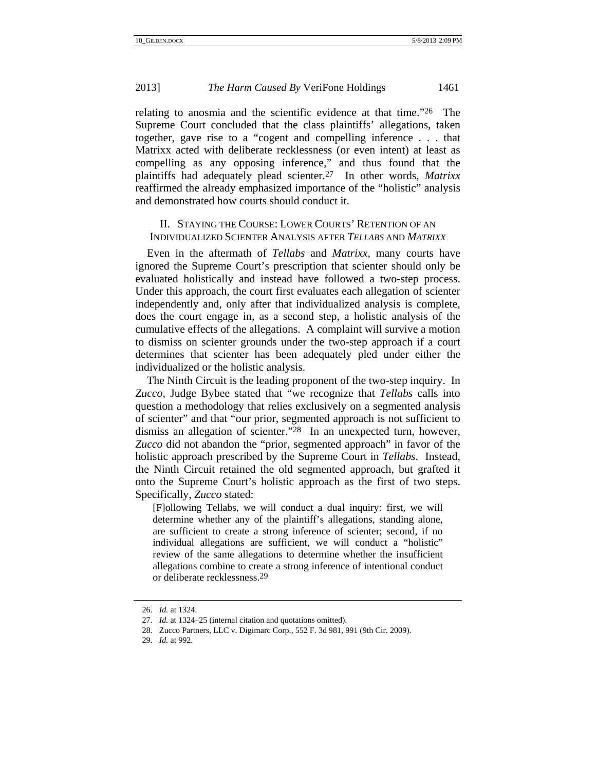relating to anosmia and the scientific evidence at that time."26 The Supreme Court concluded that the class plaintiffs' allegations, taken together, gave rise to a "cogent and compelling inference . . . that Matrixx acted with deliberate recklessness (or even intent) at least as compelling as any opposing inference," and thus found that the plaintiffs had adequately plead scienter.27 In other words, *Matrixx* reaffirmed the already emphasized importance of the "holistic" analysis and demonstrated how courts should conduct it.

## II. STAYING THE COURSE: LOWER COURTS' RETENTION OF AN INDIVIDUALIZED SCIENTER ANALYSIS AFTER *TELLABS* AND *MATRIXX*

Even in the aftermath of *Tellabs* and *Matrixx*, many courts have ignored the Supreme Court's prescription that scienter should only be evaluated holistically and instead have followed a two-step process. Under this approach, the court first evaluates each allegation of scienter independently and, only after that individualized analysis is complete, does the court engage in, as a second step, a holistic analysis of the cumulative effects of the allegations. A complaint will survive a motion to dismiss on scienter grounds under the two-step approach if a court determines that scienter has been adequately pled under either the individualized or the holistic analysis.

The Ninth Circuit is the leading proponent of the two-step inquiry. In *Zucco*, Judge Bybee stated that "we recognize that *Tellabs* calls into question a methodology that relies exclusively on a segmented analysis of scienter" and that "our prior, segmented approach is not sufficient to dismiss an allegation of scienter."28 In an unexpected turn, however, *Zucco* did not abandon the "prior, segmented approach" in favor of the holistic approach prescribed by the Supreme Court in *Tellabs*. Instead, the Ninth Circuit retained the old segmented approach, but grafted it onto the Supreme Court's holistic approach as the first of two steps. Specifically, *Zucco* stated:

[F]ollowing Tellabs, we will conduct a dual inquiry: first, we will determine whether any of the plaintiff's allegations, standing alone, are sufficient to create a strong inference of scienter; second, if no individual allegations are sufficient, we will conduct a "holistic" review of the same allegations to determine whether the insufficient allegations combine to create a strong inference of intentional conduct or deliberate recklessness.29

<sup>26.</sup> *Id.* at 1324.

<sup>27.</sup> *Id.* at 1324–25 (internal citation and quotations omitted).

<sup>28.</sup> Zucco Partners, LLC v. Digimarc Corp., 552 F. 3d 981, 991 (9th Cir. 2009).

<sup>29.</sup> *Id.* at 992.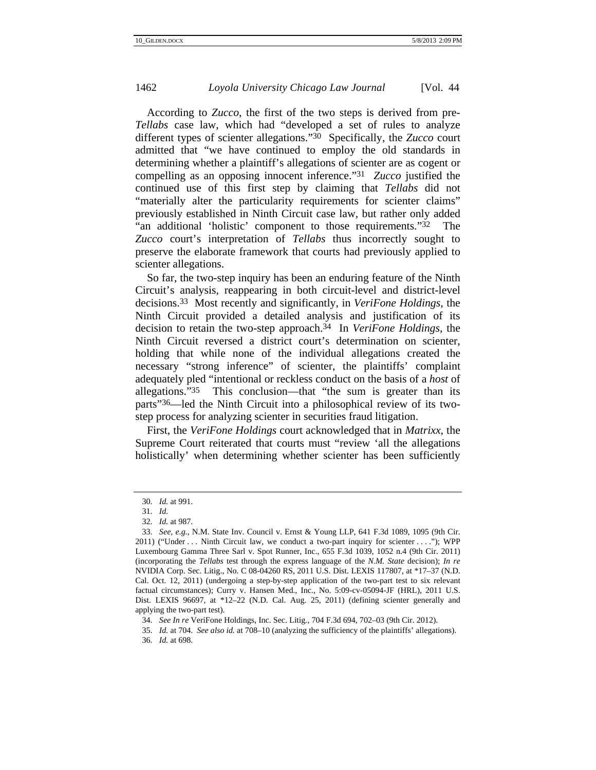According to *Zucco*, the first of the two steps is derived from pre-*Tellabs* case law, which had "developed a set of rules to analyze different types of scienter allegations."30 Specifically, the *Zucco* court admitted that "we have continued to employ the old standards in determining whether a plaintiff's allegations of scienter are as cogent or compelling as an opposing innocent inference."31 *Zucco* justified the continued use of this first step by claiming that *Tellabs* did not "materially alter the particularity requirements for scienter claims" previously established in Ninth Circuit case law, but rather only added "an additional 'holistic' component to those requirements."32 The *Zucco* court's interpretation of *Tellabs* thus incorrectly sought to preserve the elaborate framework that courts had previously applied to scienter allegations.

So far, the two-step inquiry has been an enduring feature of the Ninth Circuit's analysis, reappearing in both circuit-level and district-level decisions.33 Most recently and significantly, in *VeriFone Holdings*, the Ninth Circuit provided a detailed analysis and justification of its decision to retain the two-step approach.34 In *VeriFone Holdings*, the Ninth Circuit reversed a district court's determination on scienter, holding that while none of the individual allegations created the necessary "strong inference" of scienter, the plaintiffs' complaint adequately pled "intentional or reckless conduct on the basis of a *host* of allegations."35 This conclusion—that "the sum is greater than its parts"36—led the Ninth Circuit into a philosophical review of its twostep process for analyzing scienter in securities fraud litigation.

First, the *VeriFone Holdings* court acknowledged that in *Matrixx*, the Supreme Court reiterated that courts must "review 'all the allegations holistically' when determining whether scienter has been sufficiently

<sup>30.</sup> *Id.* at 991.

<sup>31.</sup> *Id.*

<sup>32.</sup> *Id.* at 987.

<sup>33.</sup> *See, e.g.*, N.M. State Inv. Council v. Ernst & Young LLP, 641 F.3d 1089, 1095 (9th Cir. 2011) ("Under . . . Ninth Circuit law, we conduct a two-part inquiry for scienter . . . ."); WPP Luxembourg Gamma Three Sarl v. Spot Runner, Inc., 655 F.3d 1039, 1052 n.4 (9th Cir. 2011) (incorporating the *Tellabs* test through the express language of the *N.M. State* decision); *In re* NVIDIA Corp. Sec. Litig., No. C 08-04260 RS, 2011 U.S. Dist. LEXIS 117807, at \*17–37 (N.D. Cal. Oct. 12, 2011) (undergoing a step-by-step application of the two-part test to six relevant factual circumstances); Curry v. Hansen Med., Inc., No. 5:09-cv-05094-JF (HRL), 2011 U.S. Dist. LEXIS 96697, at \*12–22 (N.D. Cal. Aug. 25, 2011) (defining scienter generally and applying the two-part test).

<sup>34.</sup> *See In re* VeriFone Holdings, Inc. Sec. Litig., 704 F.3d 694, 702–03 (9th Cir. 2012).

<sup>35.</sup> *Id.* at 704. *See also id.* at 708–10 (analyzing the sufficiency of the plaintiffs' allegations).

<sup>36.</sup> *Id.* at 698.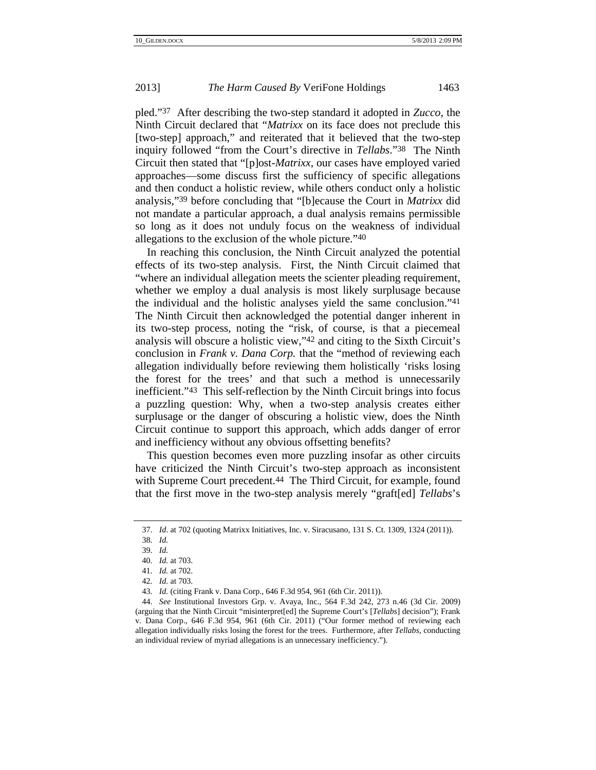pled."37 After describing the two-step standard it adopted in *Zucco*, the Ninth Circuit declared that "*Matrixx* on its face does not preclude this [two-step] approach," and reiterated that it believed that the two-step inquiry followed "from the Court's directive in *Tellabs*."38 The Ninth Circuit then stated that "[p]ost-*Matrixx*, our cases have employed varied approaches—some discuss first the sufficiency of specific allegations and then conduct a holistic review, while others conduct only a holistic analysis,"39 before concluding that "[b]ecause the Court in *Matrixx* did not mandate a particular approach, a dual analysis remains permissible so long as it does not unduly focus on the weakness of individual allegations to the exclusion of the whole picture."40

In reaching this conclusion, the Ninth Circuit analyzed the potential effects of its two-step analysis. First, the Ninth Circuit claimed that "where an individual allegation meets the scienter pleading requirement, whether we employ a dual analysis is most likely surplusage because the individual and the holistic analyses yield the same conclusion."41 The Ninth Circuit then acknowledged the potential danger inherent in its two-step process, noting the "risk, of course, is that a piecemeal analysis will obscure a holistic view,"42 and citing to the Sixth Circuit's conclusion in *Frank v. Dana Corp.* that the "method of reviewing each allegation individually before reviewing them holistically 'risks losing the forest for the trees' and that such a method is unnecessarily inefficient."43 This self-reflection by the Ninth Circuit brings into focus a puzzling question: Why, when a two-step analysis creates either surplusage or the danger of obscuring a holistic view, does the Ninth Circuit continue to support this approach, which adds danger of error and inefficiency without any obvious offsetting benefits?

This question becomes even more puzzling insofar as other circuits have criticized the Ninth Circuit's two-step approach as inconsistent with Supreme Court precedent.<sup>44</sup> The Third Circuit, for example, found that the first move in the two-step analysis merely "graft[ed] *Tellabs*'s

<sup>37.</sup> *Id*. at 702 (quoting Matrixx Initiatives, Inc. v. Siracusano, 131 S. Ct. 1309, 1324 (2011)).

<sup>38.</sup> *Id.*

<sup>39.</sup> *Id.*

<sup>40.</sup> *Id.* at 703.

<sup>41.</sup> *Id.* at 702.

<sup>42.</sup> *Id.* at 703.

<sup>43.</sup> *Id.* (citing Frank v. Dana Corp., 646 F.3d 954, 961 (6th Cir. 2011)).

<sup>44.</sup> *See* Institutional Investors Grp. v. Avaya, Inc., 564 F.3d 242, 273 n.46 (3d Cir. 2009) (arguing that the Ninth Circuit "misinterpret[ed] the Supreme Court's [*Tellabs*] decision"); Frank v. Dana Corp., 646 F.3d 954, 961 (6th Cir. 2011) ("Our former method of reviewing each allegation individually risks losing the forest for the trees. Furthermore, after *Tellabs*, conducting an individual review of myriad allegations is an unnecessary inefficiency.").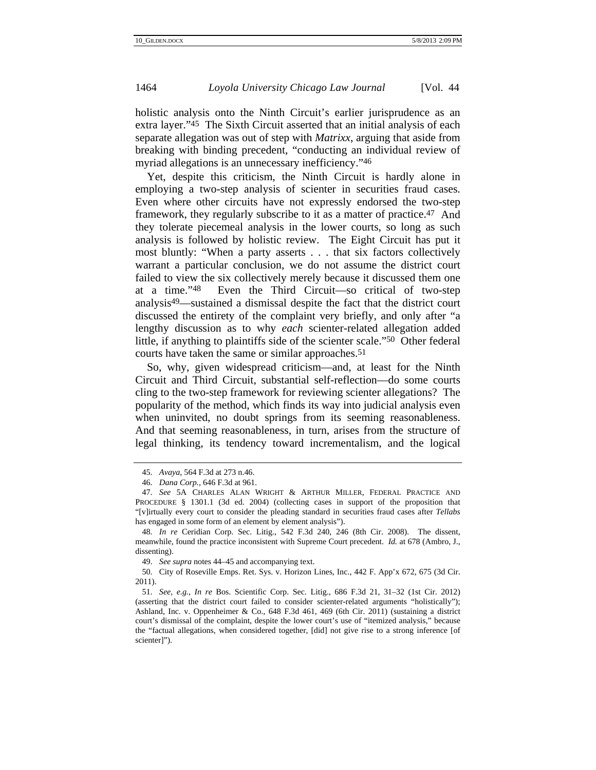holistic analysis onto the Ninth Circuit's earlier jurisprudence as an extra layer."45 The Sixth Circuit asserted that an initial analysis of each separate allegation was out of step with *Matrixx*, arguing that aside from breaking with binding precedent, "conducting an individual review of myriad allegations is an unnecessary inefficiency."<sup>46</sup>

Yet, despite this criticism, the Ninth Circuit is hardly alone in employing a two-step analysis of scienter in securities fraud cases. Even where other circuits have not expressly endorsed the two-step framework, they regularly subscribe to it as a matter of practice.47 And they tolerate piecemeal analysis in the lower courts, so long as such analysis is followed by holistic review. The Eight Circuit has put it most bluntly: "When a party asserts . . . that six factors collectively warrant a particular conclusion, we do not assume the district court failed to view the six collectively merely because it discussed them one at a time."48 Even the Third Circuit—so critical of two-step analysis49—sustained a dismissal despite the fact that the district court discussed the entirety of the complaint very briefly, and only after "a lengthy discussion as to why *each* scienter-related allegation added little, if anything to plaintiffs side of the scienter scale."50 Other federal courts have taken the same or similar approaches.<sup>51</sup>

So, why, given widespread criticism—and, at least for the Ninth Circuit and Third Circuit, substantial self-reflection—do some courts cling to the two-step framework for reviewing scienter allegations? The popularity of the method, which finds its way into judicial analysis even when uninvited, no doubt springs from its seeming reasonableness. And that seeming reasonableness, in turn, arises from the structure of legal thinking, its tendency toward incrementalism, and the logical

<sup>45.</sup> *Avaya*, 564 F.3d at 273 n.46.

<sup>46.</sup> *Dana Corp.*, 646 F.3d at 961.

<sup>47.</sup> *See* 5A CHARLES ALAN WRIGHT & ARTHUR MILLER, FEDERAL PRACTICE AND PROCEDURE § 1301.1 (3d ed. 2004) (collecting cases in support of the proposition that "[v]irtually every court to consider the pleading standard in securities fraud cases after *Tellabs* has engaged in some form of an element by element analysis").

<sup>48.</sup> *In re* Ceridian Corp. Sec. Litig., 542 F.3d 240, 246 (8th Cir. 2008). The dissent, meanwhile, found the practice inconsistent with Supreme Court precedent. *Id.* at 678 (Ambro, J., dissenting).

<sup>49.</sup> *See supra* notes 44–45 and accompanying text.

<sup>50.</sup> City of Roseville Emps. Ret. Sys. v. Horizon Lines, Inc., 442 F. App'x 672, 675 (3d Cir. 2011).

<sup>51.</sup> *See, e.g.*, *In re* Bos. Scientific Corp. Sec. Litig., 686 F.3d 21, 31–32 (1st Cir. 2012) (asserting that the district court failed to consider scienter-related arguments "holistically"); Ashland, Inc. v. Oppenheimer & Co., 648 F.3d 461, 469 (6th Cir. 2011) (sustaining a district court's dismissal of the complaint, despite the lower court's use of "itemized analysis," because the "factual allegations, when considered together, [did] not give rise to a strong inference [of scienter]").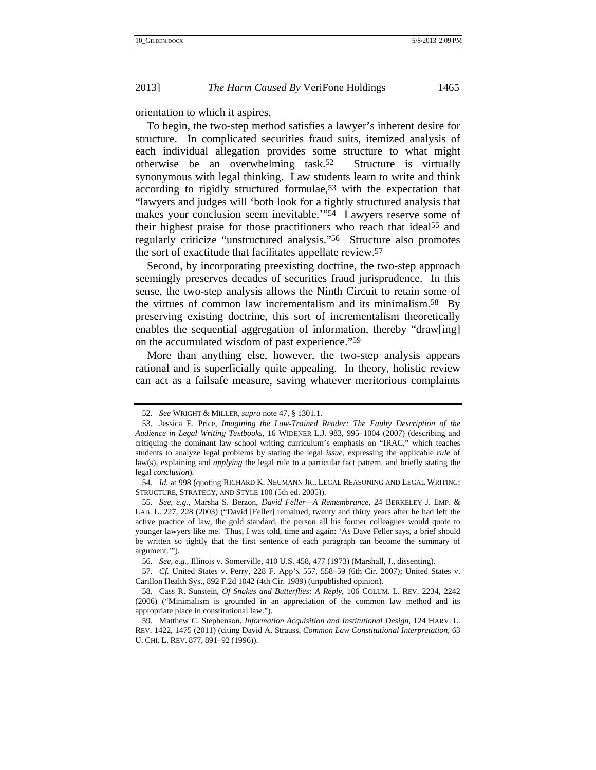orientation to which it aspires.

To begin, the two-step method satisfies a lawyer's inherent desire for structure. In complicated securities fraud suits, itemized analysis of each individual allegation provides some structure to what might otherwise be an overwhelming task.52 Structure is virtually synonymous with legal thinking. Law students learn to write and think according to rigidly structured formulae,53 with the expectation that "lawyers and judges will 'both look for a tightly structured analysis that makes your conclusion seem inevitable.'"54 Lawyers reserve some of their highest praise for those practitioners who reach that ideal55 and regularly criticize "unstructured analysis."56 Structure also promotes the sort of exactitude that facilitates appellate review.57

Second, by incorporating preexisting doctrine, the two-step approach seemingly preserves decades of securities fraud jurisprudence. In this sense, the two-step analysis allows the Ninth Circuit to retain some of the virtues of common law incrementalism and its minimalism.58 By preserving existing doctrine, this sort of incrementalism theoretically enables the sequential aggregation of information, thereby "draw[ing] on the accumulated wisdom of past experience."59

More than anything else, however, the two-step analysis appears rational and is superficially quite appealing. In theory, holistic review can act as a failsafe measure, saving whatever meritorious complaints

<sup>52.</sup> *See* WRIGHT & MILLER, *supra* note 47, § 1301.1.

<sup>53.</sup> Jessica E. Price, *Imagining the Law-Trained Reader: The Faulty Description of the Audience in Legal Writing Textbooks*, 16 WIDENER L.J. 983, 995–1004 (2007) (describing and critiquing the dominant law school writing curriculum's emphasis on "IRAC," which teaches students to analyze legal problems by stating the legal *issue*, expressing the applicable *rule* of law(s), explaining and *applying* the legal rule to a particular fact pattern, and briefly stating the legal *conclusion*).

<sup>54.</sup> *Id.* at 998 (quoting RICHARD K. NEUMANN JR., LEGAL REASONING AND LEGAL WRITING: STRUCTURE, STRATEGY, AND STYLE 100 (5th ed. 2005)).

<sup>55.</sup> *See, e.g.*, Marsha S. Berzon, *David Feller—A Remembrance*, 24 BERKELEY J. EMP. & LAB. L. 227, 228 (2003) ("David [Feller] remained, twenty and thirty years after he had left the active practice of law, the gold standard, the person all his former colleagues would quote to younger lawyers like me. Thus, I was told, time and again: 'As Dave Feller says, a brief should be written so tightly that the first sentence of each paragraph can become the summary of argument.'").

<sup>56.</sup> *See, e.g.*, Illinois v. Somerville, 410 U.S. 458, 477 (1973) (Marshall, J., dissenting).

<sup>57.</sup> *Cf.* United States v. Perry, 228 F. App'x 557, 558–59 (6th Cir. 2007); United States v. Carillon Health Sys., 892 F.2d 1042 (4th Cir. 1989) (unpublished opinion).

<sup>58.</sup> Cass R. Sunstein, *Of Snakes and Butterflies: A Reply*, 106 COLUM. L. REV. 2234, 2242 (2006) ("Minimalism is grounded in an appreciation of the common law method and its appropriate place in constitutional law.").

<sup>59.</sup> Matthew C. Stephenson, *Information Acquisition and Institutional Design*, 124 HARV. L. REV. 1422, 1475 (2011) (citing David A. Strauss, *Common Law Constitutional Interpretation*, 63 U. CHI. L. REV. 877, 891–92 (1996)).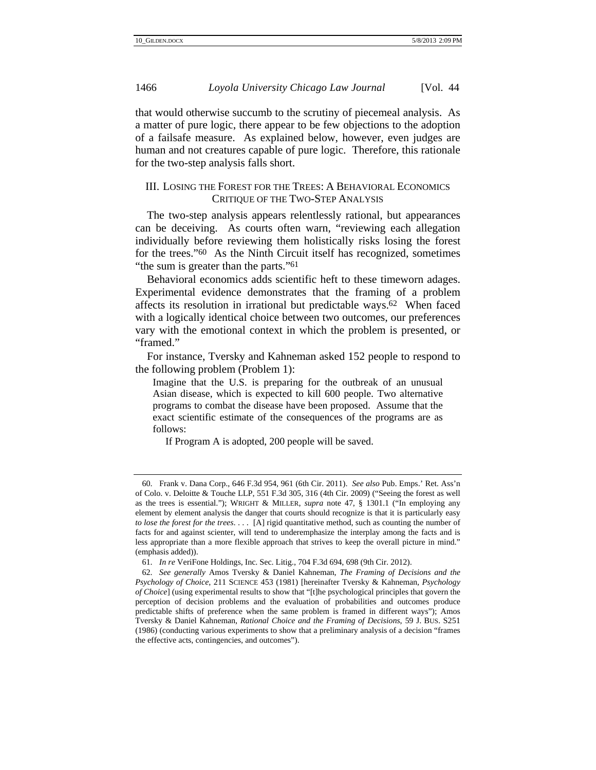that would otherwise succumb to the scrutiny of piecemeal analysis. As a matter of pure logic, there appear to be few objections to the adoption of a failsafe measure. As explained below, however, even judges are human and not creatures capable of pure logic. Therefore, this rationale for the two-step analysis falls short.

## III. LOSING THE FOREST FOR THE TREES: A BEHAVIORAL ECONOMICS CRITIQUE OF THE TWO-STEP ANALYSIS

The two-step analysis appears relentlessly rational, but appearances can be deceiving. As courts often warn, "reviewing each allegation individually before reviewing them holistically risks losing the forest for the trees."60 As the Ninth Circuit itself has recognized, sometimes "the sum is greater than the parts."<sup>61</sup>

Behavioral economics adds scientific heft to these timeworn adages. Experimental evidence demonstrates that the framing of a problem affects its resolution in irrational but predictable ways.62 When faced with a logically identical choice between two outcomes, our preferences vary with the emotional context in which the problem is presented, or "framed."

For instance, Tversky and Kahneman asked 152 people to respond to the following problem (Problem 1):

Imagine that the U.S. is preparing for the outbreak of an unusual Asian disease, which is expected to kill 600 people. Two alternative programs to combat the disease have been proposed. Assume that the exact scientific estimate of the consequences of the programs are as follows:

If Program A is adopted, 200 people will be saved.

<sup>60.</sup> Frank v. Dana Corp., 646 F.3d 954, 961 (6th Cir. 2011). *See also* Pub. Emps.' Ret. Ass'n of Colo. v. Deloitte & Touche LLP, 551 F.3d 305, 316 (4th Cir. 2009) ("Seeing the forest as well as the trees is essential."); WRIGHT & MILLER, *supra* note 47, § 1301.1 ("In employing any element by element analysis the danger that courts should recognize is that it is particularly easy *to lose the forest for the trees*. . . . [A] rigid quantitative method, such as counting the number of facts for and against scienter, will tend to underemphasize the interplay among the facts and is less appropriate than a more flexible approach that strives to keep the overall picture in mind." (emphasis added)).

<sup>61.</sup> *In re* VeriFone Holdings, Inc. Sec. Litig., 704 F.3d 694, 698 (9th Cir. 2012).

<sup>62.</sup> *See generally* Amos Tversky & Daniel Kahneman, *The Framing of Decisions and the Psychology of Choice*, 211 SCIENCE 453 (1981) [hereinafter Tversky & Kahneman, *Psychology of Choice*] (using experimental results to show that "[t]he psychological principles that govern the perception of decision problems and the evaluation of probabilities and outcomes produce predictable shifts of preference when the same problem is framed in different ways"); Amos Tversky & Daniel Kahneman, *Rational Choice and the Framing of Decisions*, 59 J. BUS. S251 (1986) (conducting various experiments to show that a preliminary analysis of a decision "frames the effective acts, contingencies, and outcomes").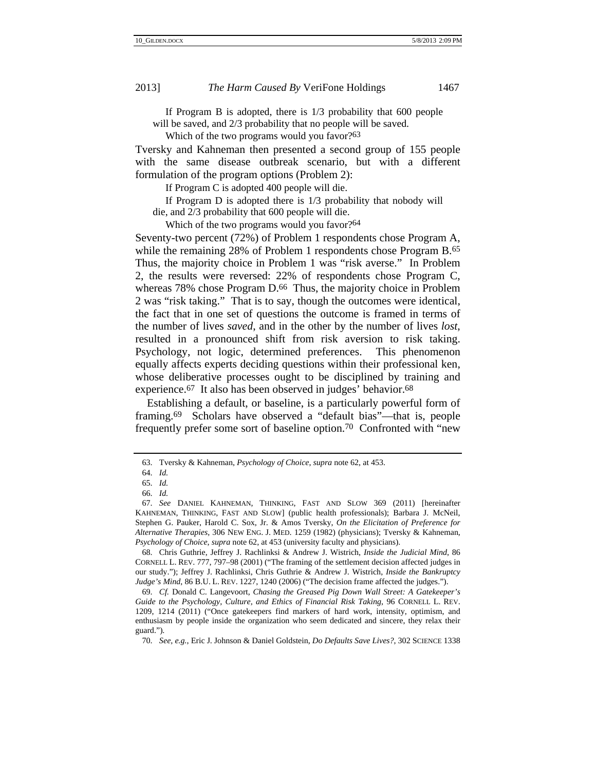If Program B is adopted, there is 1/3 probability that 600 people will be saved, and 2/3 probability that no people will be saved.

Which of the two programs would you favor?<sup>63</sup>

Tversky and Kahneman then presented a second group of 155 people with the same disease outbreak scenario, but with a different formulation of the program options (Problem 2):

If Program C is adopted 400 people will die.

 If Program D is adopted there is 1/3 probability that nobody will die, and 2/3 probability that 600 people will die.

Which of the two programs would you favor?<sup>64</sup>

Seventy-two percent (72%) of Problem 1 respondents chose Program A, while the remaining 28% of Problem 1 respondents chose Program B.65 Thus, the majority choice in Problem 1 was "risk averse." In Problem 2, the results were reversed: 22% of respondents chose Program C, whereas 78% chose Program D.<sup>66</sup> Thus, the majority choice in Problem 2 was "risk taking." That is to say, though the outcomes were identical, the fact that in one set of questions the outcome is framed in terms of the number of lives *saved*, and in the other by the number of lives *lost*, resulted in a pronounced shift from risk aversion to risk taking. Psychology, not logic, determined preferences. This phenomenon equally affects experts deciding questions within their professional ken, whose deliberative processes ought to be disciplined by training and experience.<sup>67</sup> It also has been observed in judges' behavior.<sup>68</sup>

Establishing a default, or baseline, is a particularly powerful form of framing.69 Scholars have observed a "default bias"—that is, people frequently prefer some sort of baseline option.70 Confronted with "new

<sup>63.</sup> Tversky & Kahneman, *Psychology of Choice*, *supra* note 62, at 453.

<sup>64.</sup> *Id.*

<sup>65.</sup> *Id.*

<sup>66.</sup> *Id.*

<sup>67.</sup> *See* DANIEL KAHNEMAN, THINKING, FAST AND SLOW 369 (2011) [hereinafter KAHNEMAN, THINKING, FAST AND SLOW] (public health professionals); Barbara J. McNeil, Stephen G. Pauker, Harold C. Sox, Jr. & Amos Tversky, *On the Elicitation of Preference for Alternative Therapies*, 306 NEW ENG. J. MED. 1259 (1982) (physicians); Tversky & Kahneman, *Psychology of Choice*, *supra* note 62, at 453 (university faculty and physicians).

<sup>68.</sup> Chris Guthrie, Jeffrey J. Rachlinksi & Andrew J. Wistrich, *Inside the Judicial Mind*, 86 CORNELL L. REV. 777, 797–98 (2001) ("The framing of the settlement decision affected judges in our study."); Jeffrey J. Rachlinksi, Chris Guthrie & Andrew J. Wistrich, *Inside the Bankruptcy Judge's Mind*, 86 B.U. L. REV. 1227, 1240 (2006) ("The decision frame affected the judges.").

<sup>69.</sup> *Cf.* Donald C. Langevoort, *Chasing the Greased Pig Down Wall Street: A Gatekeeper's Guide to the Psychology, Culture, and Ethics of Financial Risk Taking*, 96 CORNELL L. REV. 1209, 1214 (2011) ("Once gatekeepers find markers of hard work, intensity, optimism, and enthusiasm by people inside the organization who seem dedicated and sincere, they relax their guard.").

<sup>70.</sup> *See, e.g.*, Eric J. Johnson & Daniel Goldstein, *Do Defaults Save Lives?*, 302 SCIENCE 1338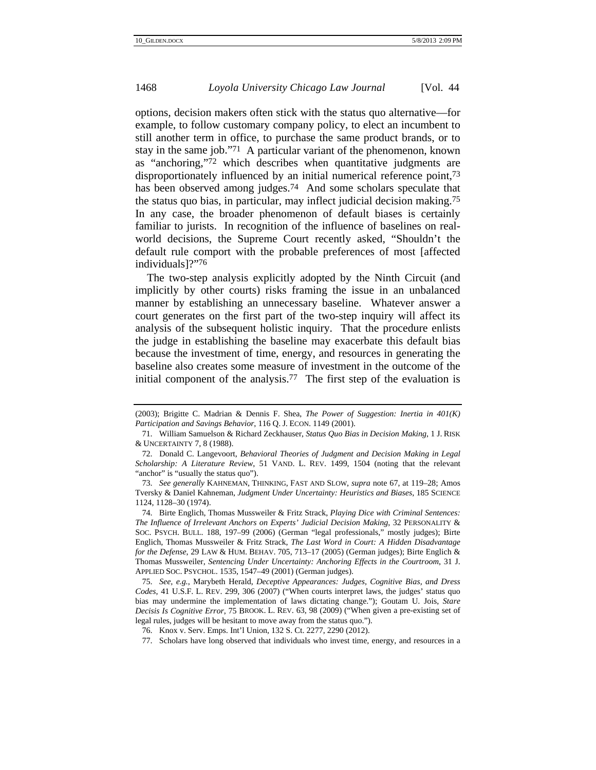options, decision makers often stick with the status quo alternative—for example, to follow customary company policy, to elect an incumbent to still another term in office, to purchase the same product brands, or to stay in the same job."71 A particular variant of the phenomenon, known as "anchoring,"72 which describes when quantitative judgments are disproportionately influenced by an initial numerical reference point,73 has been observed among judges.<sup>74</sup> And some scholars speculate that the status quo bias, in particular, may inflect judicial decision making.75 In any case, the broader phenomenon of default biases is certainly familiar to jurists. In recognition of the influence of baselines on realworld decisions, the Supreme Court recently asked, "Shouldn't the default rule comport with the probable preferences of most [affected individuals]?"76

The two-step analysis explicitly adopted by the Ninth Circuit (and implicitly by other courts) risks framing the issue in an unbalanced manner by establishing an unnecessary baseline. Whatever answer a court generates on the first part of the two-step inquiry will affect its analysis of the subsequent holistic inquiry. That the procedure enlists the judge in establishing the baseline may exacerbate this default bias because the investment of time, energy, and resources in generating the baseline also creates some measure of investment in the outcome of the initial component of the analysis.77 The first step of the evaluation is

<sup>(2003);</sup> Brigitte C. Madrian & Dennis F. Shea, *The Power of Suggestion: Inertia in 401(K) Participation and Savings Behavior*, 116 Q. J. ECON. 1149 (2001).

<sup>71.</sup> William Samuelson & Richard Zeckhauser, *Status Quo Bias in Decision Making*, 1 J. RISK & UNCERTAINTY 7, 8 (1988).

<sup>72.</sup> Donald C. Langevoort, *Behavioral Theories of Judgment and Decision Making in Legal Scholarship: A Literature Review*, 51 VAND. L. REV. 1499, 1504 (noting that the relevant "anchor" is "usually the status quo").

<sup>73.</sup> *See generally* KAHNEMAN, THINKING, FAST AND SLOW, *supra* note 67, at 119–28; Amos Tversky & Daniel Kahneman, *Judgment Under Uncertainty: Heuristics and Biases*, 185 SCIENCE 1124, 1128–30 (1974).

<sup>74.</sup> Birte Englich, Thomas Mussweiler & Fritz Strack, *Playing Dice with Criminal Sentences: The Influence of Irrelevant Anchors on Experts' Judicial Decision Making*, 32 PERSONALITY & SOC. PSYCH. BULL. 188, 197–99 (2006) (German "legal professionals," mostly judges); Birte Englich, Thomas Mussweiler & Fritz Strack, *The Last Word in Court: A Hidden Disadvantage for the Defense*, 29 LAW & HUM. BEHAV. 705, 713–17 (2005) (German judges); Birte Englich & Thomas Mussweiler, *Sentencing Under Uncertainty: Anchoring Effects in the Courtroom*, 31 J. APPLIED SOC. PSYCHOL. 1535, 1547–49 (2001) (German judges).

<sup>75.</sup> *See, e.g.*, Marybeth Herald, *Deceptive Appearances: Judges, Cognitive Bias, and Dress Codes*, 41 U.S.F. L. REV. 299, 306 (2007) ("When courts interpret laws, the judges' status quo bias may undermine the implementation of laws dictating change."); Goutam U. Jois, *Stare Decisis Is Cognitive Error*, 75 BROOK. L. REV. 63, 98 (2009) ("When given a pre-existing set of legal rules, judges will be hesitant to move away from the status quo.").

<sup>76.</sup> Knox v. Serv. Emps. Int'l Union, 132 S. Ct. 2277, 2290 (2012).

<sup>77.</sup> Scholars have long observed that individuals who invest time, energy, and resources in a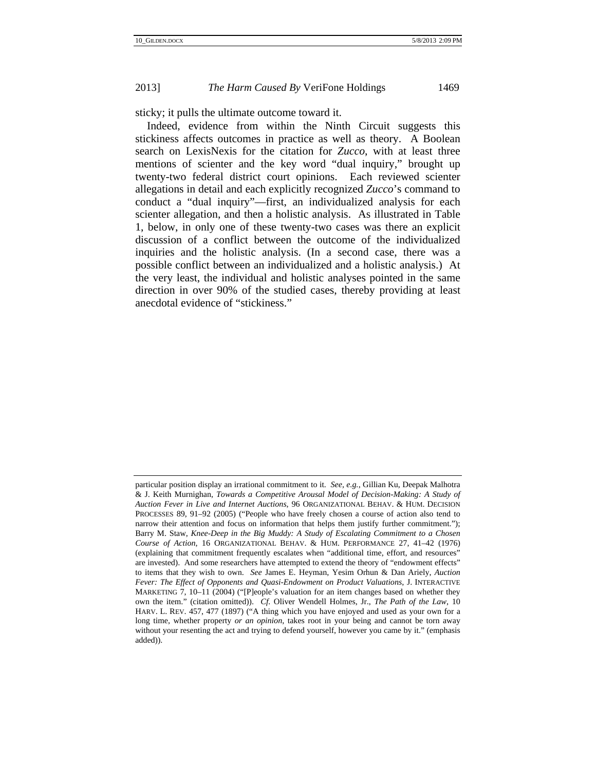sticky; it pulls the ultimate outcome toward it.

Indeed, evidence from within the Ninth Circuit suggests this stickiness affects outcomes in practice as well as theory. A Boolean search on LexisNexis for the citation for *Zucco*, with at least three mentions of scienter and the key word "dual inquiry," brought up twenty-two federal district court opinions. Each reviewed scienter allegations in detail and each explicitly recognized *Zucco*'s command to conduct a "dual inquiry"—first, an individualized analysis for each scienter allegation, and then a holistic analysis. As illustrated in Table 1, below, in only one of these twenty-two cases was there an explicit discussion of a conflict between the outcome of the individualized inquiries and the holistic analysis. (In a second case, there was a possible conflict between an individualized and a holistic analysis.) At the very least, the individual and holistic analyses pointed in the same direction in over 90% of the studied cases, thereby providing at least anecdotal evidence of "stickiness."

particular position display an irrational commitment to it. *See, e.g.*, Gillian Ku, Deepak Malhotra & J. Keith Murnighan, *Towards a Competitive Arousal Model of Decision-Making: A Study of Auction Fever in Live and Internet Auctions*, 96 ORGANIZATIONAL BEHAV. & HUM. DECISION PROCESSES 89, 91–92 (2005) ("People who have freely chosen a course of action also tend to narrow their attention and focus on information that helps them justify further commitment."); Barry M. Staw, *Knee-Deep in the Big Muddy: A Study of Escalating Commitment to a Chosen Course of Action*, 16 ORGANIZATIONAL BEHAV. & HUM. PERFORMANCE 27, 41–42 (1976) (explaining that commitment frequently escalates when "additional time, effort, and resources" are invested). And some researchers have attempted to extend the theory of "endowment effects" to items that they wish to own. *See* James E. Heyman, Yesim Orhun & Dan Ariely, *Auction Fever: The Effect of Opponents and Quasi-Endowment on Product Valuations*, J. INTERACTIVE MARKETING 7, 10–11 (2004) ("[P]eople's valuation for an item changes based on whether they own the item." (citation omitted)). *Cf.* Oliver Wendell Holmes, Jr., *The Path of the Law*, 10 HARV. L. REV. 457, 477 (1897) ("A thing which you have enjoyed and used as your own for a long time, whether property *or an opinion*, takes root in your being and cannot be torn away without your resenting the act and trying to defend yourself, however you came by it." (emphasis added)).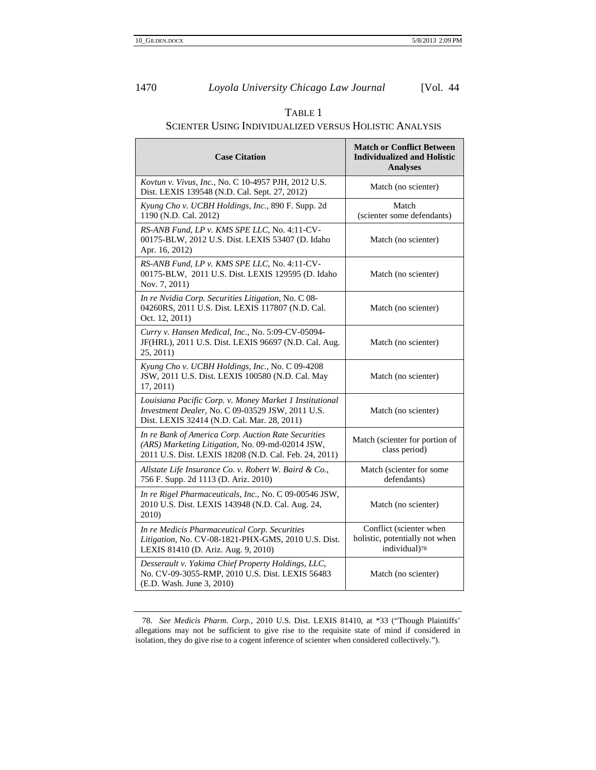## TABLE 1

## SCIENTER USING INDIVIDUALIZED VERSUS HOLISTIC ANALYSIS

| <b>Case Citation</b>                                                                                                                                             | <b>Match or Conflict Between</b><br><b>Individualized and Holistic</b><br><b>Analyses</b> |
|------------------------------------------------------------------------------------------------------------------------------------------------------------------|-------------------------------------------------------------------------------------------|
| Kovtun v. Vivus, Inc., No. C 10-4957 PJH, 2012 U.S.<br>Dist. LEXIS 139548 (N.D. Cal. Sept. 27, 2012)                                                             | Match (no scienter)                                                                       |
| Kyung Cho v. UCBH Holdings, Inc., 890 F. Supp. 2d<br>1190 (N.D. Cal. 2012)                                                                                       | Match<br>(scienter some defendants)                                                       |
| RS-ANB Fund, LP v. KMS SPE LLC, No. 4:11-CV-<br>00175-BLW, 2012 U.S. Dist. LEXIS 53407 (D. Idaho<br>Apr. 16, 2012)                                               | Match (no scienter)                                                                       |
| RS-ANB Fund, LP v. KMS SPE LLC, No. 4:11-CV-<br>00175-BLW, 2011 U.S. Dist. LEXIS 129595 (D. Idaho<br>Nov. 7, 2011)                                               | Match (no scienter)                                                                       |
| In re Nvidia Corp. Securities Litigation, No. C 08-<br>04260RS, 2011 U.S. Dist. LEXIS 117807 (N.D. Cal.<br>Oct. 12, 2011)                                        | Match (no scienter)                                                                       |
| Curry v. Hansen Medical, Inc., No. 5:09-CV-05094-<br>JF(HRL), 2011 U.S. Dist. LEXIS 96697 (N.D. Cal. Aug.<br>25, 2011)                                           | Match (no scienter)                                                                       |
| Kyung Cho v. UCBH Holdings, Inc., No. C 09-4208<br>JSW, 2011 U.S. Dist. LEXIS 100580 (N.D. Cal. May<br>17, 2011)                                                 | Match (no scienter)                                                                       |
| Louisiana Pacific Corp. v. Money Market 1 Institutional<br>Investment Dealer, No. C 09-03529 JSW, 2011 U.S.<br>Dist. LEXIS 32414 (N.D. Cal. Mar. 28, 2011)       | Match (no scienter)                                                                       |
| In re Bank of America Corp. Auction Rate Securities<br>(ARS) Marketing Litigation, No. 09-md-02014 JSW,<br>2011 U.S. Dist. LEXIS 18208 (N.D. Cal. Feb. 24, 2011) | Match (scienter for portion of<br>class period)                                           |
| Allstate Life Insurance Co. v. Robert W. Baird & Co.,<br>756 F. Supp. 2d 1113 (D. Ariz. 2010)                                                                    | Match (scienter for some<br>defendants)                                                   |
| In re Rigel Pharmaceuticals, Inc., No. C 09-00546 JSW,<br>2010 U.S. Dist. LEXIS 143948 (N.D. Cal. Aug. 24,<br>2010)                                              | Match (no scienter)                                                                       |
| In re Medicis Pharmaceutical Corp. Securities<br>Litigation, No. CV-08-1821-PHX-GMS, 2010 U.S. Dist.<br>LEXIS 81410 (D. Ariz. Aug. 9, 2010)                      | Conflict (scienter when<br>holistic, potentially not when<br>individual)78                |
| Desserault v. Yakima Chief Property Holdings, LLC,<br>No. CV-09-3055-RMP, 2010 U.S. Dist. LEXIS 56483<br>(E.D. Wash. June 3, 2010)                               | Match (no scienter)                                                                       |

<sup>78.</sup> *See Medicis Pharm. Corp.*, 2010 U.S. Dist. LEXIS 81410, at \*33 ("Though Plaintiffs' allegations may not be sufficient to give rise to the requisite state of mind if considered in isolation, they do give rise to a cogent inference of scienter when considered collectively.").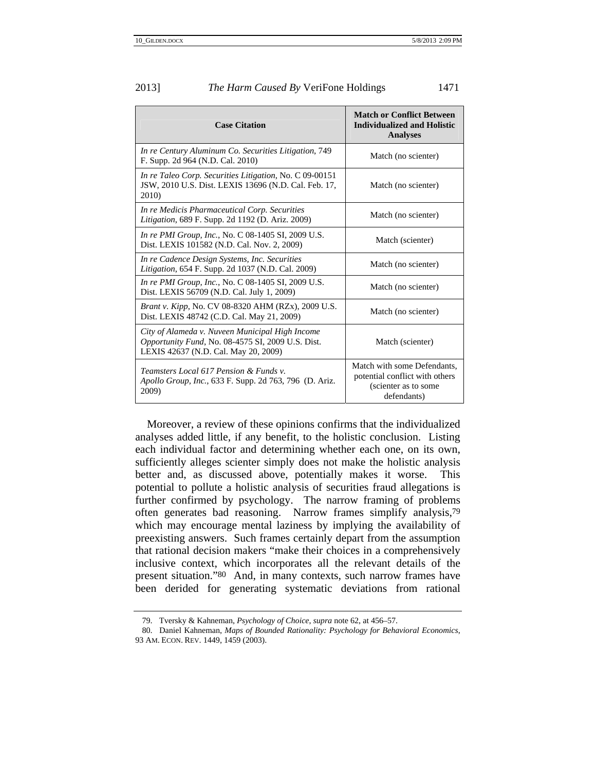| 2013] | <i>The Harm Caused By VeriFone Holdings</i> | 1471 |
|-------|---------------------------------------------|------|
|       |                                             |      |

| <b>Case Citation</b>                                                                                                                         | <b>Match or Conflict Between</b><br><b>Individualized and Holistic</b><br><b>Analyses</b>            |
|----------------------------------------------------------------------------------------------------------------------------------------------|------------------------------------------------------------------------------------------------------|
| In re Century Aluminum Co. Securities Litigation, 749<br>F. Supp. 2d 964 (N.D. Cal. 2010)                                                    | Match (no scienter)                                                                                  |
| In re Taleo Corp. Securities Litigation, No. C 09-00151<br>JSW, 2010 U.S. Dist. LEXIS 13696 (N.D. Cal. Feb. 17,<br>2010)                     | Match (no scienter)                                                                                  |
| In re Medicis Pharmaceutical Corp. Securities<br><i>Litigation,</i> 689 F. Supp. 2d 1192 (D. Ariz. 2009)                                     | Match (no scienter)                                                                                  |
| <i>In re PMI Group, Inc., No. C 08-1405 SI, 2009 U.S.</i><br>Dist. LEXIS 101582 (N.D. Cal. Nov. 2, 2009)                                     | Match (scienter)                                                                                     |
| In re Cadence Design Systems, Inc. Securities<br>Litigation, 654 F. Supp. 2d 1037 (N.D. Cal. 2009)                                           | Match (no scienter)                                                                                  |
| <i>In re PMI Group, Inc., No. C 08-1405 SI, 2009 U.S.</i><br>Dist. LEXIS 56709 (N.D. Cal. July 1, 2009)                                      | Match (no scienter)                                                                                  |
| <i>Brant v. Kipp, No. CV 08-8320 AHM (RZx), 2009 U.S.</i><br>Dist. LEXIS 48742 (C.D. Cal. May 21, 2009)                                      | Match (no scienter)                                                                                  |
| City of Alameda v. Nuveen Municipal High Income<br>Opportunity Fund, No. 08-4575 SI, 2009 U.S. Dist.<br>LEXIS 42637 (N.D. Cal. May 20, 2009) | Match (scienter)                                                                                     |
| <i>Teamsters Local 617 Pension &amp; Funds v.</i><br><i>Apollo Group, Inc., 633 F. Supp. 2d 763, 796 (D. Ariz.</i><br>2009)                  | Match with some Defendants,<br>potential conflict with others<br>(scienter as to some<br>defendants) |

Moreover, a review of these opinions confirms that the individualized analyses added little, if any benefit, to the holistic conclusion. Listing each individual factor and determining whether each one, on its own, sufficiently alleges scienter simply does not make the holistic analysis better and, as discussed above, potentially makes it worse. This potential to pollute a holistic analysis of securities fraud allegations is further confirmed by psychology. The narrow framing of problems often generates bad reasoning. Narrow frames simplify analysis,79 which may encourage mental laziness by implying the availability of preexisting answers. Such frames certainly depart from the assumption that rational decision makers "make their choices in a comprehensively inclusive context, which incorporates all the relevant details of the present situation."80 And, in many contexts, such narrow frames have been derided for generating systematic deviations from rational

<sup>79.</sup> Tversky & Kahneman, *Psychology of Choice*, *supra* note 62, at 456–57.

<sup>80.</sup> Daniel Kahneman, *Maps of Bounded Rationality: Psychology for Behavioral Economics*, 93 AM. ECON. REV. 1449, 1459 (2003).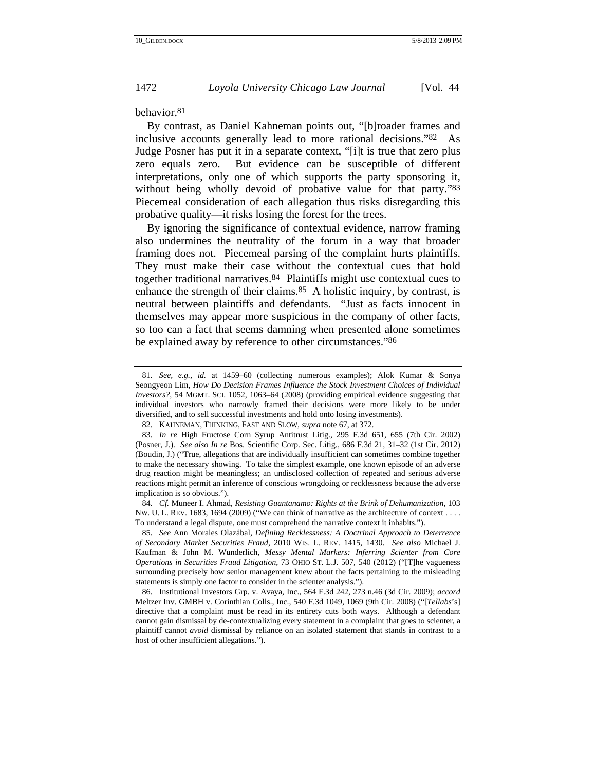#### behavior.81

By contrast, as Daniel Kahneman points out, "[b]roader frames and inclusive accounts generally lead to more rational decisions."82 As Judge Posner has put it in a separate context, "[i]t is true that zero plus zero equals zero. But evidence can be susceptible of different interpretations, only one of which supports the party sponsoring it, without being wholly devoid of probative value for that party."<sup>83</sup> Piecemeal consideration of each allegation thus risks disregarding this probative quality—it risks losing the forest for the trees.

By ignoring the significance of contextual evidence, narrow framing also undermines the neutrality of the forum in a way that broader framing does not. Piecemeal parsing of the complaint hurts plaintiffs. They must make their case without the contextual cues that hold together traditional narratives.84 Plaintiffs might use contextual cues to enhance the strength of their claims.<sup>85</sup> A holistic inquiry, by contrast, is neutral between plaintiffs and defendants. "Just as facts innocent in themselves may appear more suspicious in the company of other facts, so too can a fact that seems damning when presented alone sometimes be explained away by reference to other circumstances."86

84. *Cf.* Muneer I. Ahmad, *Resisting Guantanamo: Rights at the Brink of Dehumanization*, 103 NW. U. L. REV. 1683, 1694 (2009) ("We can think of narrative as the architecture of context . . . . To understand a legal dispute, one must comprehend the narrative context it inhabits.").

<sup>81.</sup> *See, e.g.*, *id.* at 1459–60 (collecting numerous examples); Alok Kumar & Sonya Seongyeon Lim, *How Do Decision Frames Influence the Stock Investment Choices of Individual Investors?*, 54 MGMT. SCI. 1052, 1063–64 (2008) (providing empirical evidence suggesting that individual investors who narrowly framed their decisions were more likely to be under diversified, and to sell successful investments and hold onto losing investments).

<sup>82.</sup> KAHNEMAN, THINKING, FAST AND SLOW, *supra* note 67, at 372.

<sup>83.</sup> *In re* High Fructose Corn Syrup Antitrust Litig., 295 F.3d 651, 655 (7th Cir. 2002) (Posner, J.). *See also In re* Bos. Scientific Corp. Sec. Litig., 686 F.3d 21, 31–32 (1st Cir. 2012) (Boudin, J.) ("True, allegations that are individually insufficient can sometimes combine together to make the necessary showing. To take the simplest example, one known episode of an adverse drug reaction might be meaningless; an undisclosed collection of repeated and serious adverse reactions might permit an inference of conscious wrongdoing or recklessness because the adverse implication is so obvious.").

<sup>85.</sup> *See* Ann Morales Olazábal, *Defining Recklessness: A Doctrinal Approach to Deterrence of Secondary Market Securities Fraud*, 2010 WIS. L. REV. 1415, 1430. *See also* Michael J. Kaufman & John M. Wunderlich, *Messy Mental Markers: Inferring Scienter from Core Operations in Securities Fraud Litigation*, 73 OHIO ST. L.J. 507, 540 (2012) ("[T]he vagueness surrounding precisely how senior management knew about the facts pertaining to the misleading statements is simply one factor to consider in the scienter analysis.").

<sup>86.</sup> Institutional Investors Grp. v. Avaya, Inc., 564 F.3d 242, 273 n.46 (3d Cir. 2009); *accord*  Meltzer Inv. GMBH v. Corinthian Colls., Inc., 540 F.3d 1049, 1069 (9th Cir. 2008) ("[*Tellabs*'s] directive that a complaint must be read in its entirety cuts both ways. Although a defendant cannot gain dismissal by de-contextualizing every statement in a complaint that goes to scienter, a plaintiff cannot *avoid* dismissal by reliance on an isolated statement that stands in contrast to a host of other insufficient allegations.").